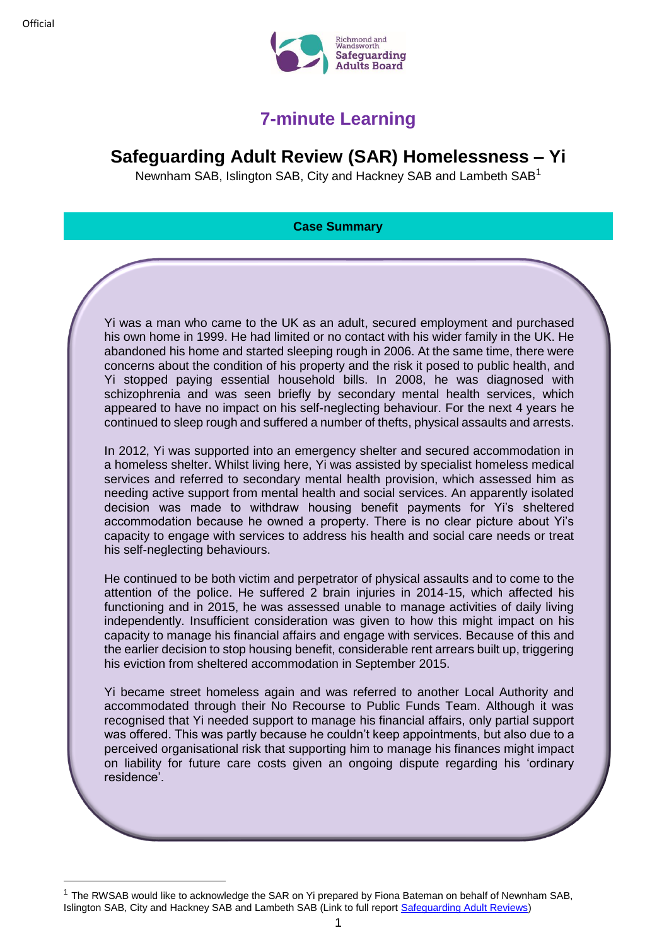**.** 



## **7-minute Learning**

## **Safeguarding Adult Review (SAR) Homelessness – Yi**

Newnham SAB, Islington SAB, City and Hackney SAB and Lambeth SAB<sup>1</sup>

## **Case Summary**

Yi was a man who came to the UK as an adult, secured employment and purchased his own home in 1999. He had limited or no contact with his wider family in the UK. He abandoned his home and started sleeping rough in 2006. At the same time, there were concerns about the condition of his property and the risk it posed to public health, and Yi stopped paying essential household bills. In 2008, he was diagnosed with schizophrenia and was seen briefly by secondary mental health services, which appeared to have no impact on his self-neglecting behaviour. For the next 4 years he continued to sleep rough and suffered a number of thefts, physical assaults and arrests.

In 2012, Yi was supported into an emergency shelter and secured accommodation in a homeless shelter. Whilst living here, Yi was assisted by specialist homeless medical services and referred to secondary mental health provision, which assessed him as needing active support from mental health and social services. An apparently isolated decision was made to withdraw housing benefit payments for Yi's sheltered accommodation because he owned a property. There is no clear picture about Yi's capacity to engage with services to address his health and social care needs or treat his self-neglecting behaviours.

He continued to be both victim and perpetrator of physical assaults and to come to the attention of the police. He suffered 2 brain injuries in 2014-15, which affected his functioning and in 2015, he was assessed unable to manage activities of daily living independently. Insufficient consideration was given to how this might impact on his capacity to manage his financial affairs and engage with services. Because of this and the earlier decision to stop housing benefit, considerable rent arrears built up, triggering his eviction from sheltered accommodation in September 2015.

Yi became street homeless again and was referred to another Local Authority and accommodated through their No Recourse to Public Funds Team. Although it was recognised that Yi needed support to manage his financial affairs, only partial support was offered. This was partly because he couldn't keep appointments, but also due to a perceived organisational risk that supporting him to manage his finances might impact on liability for future care costs given an ongoing dispute regarding his 'ordinary residence'.

 $1$  The RWSAB would like to acknowledge the SAR on Yi prepared by Fiona Bateman on behalf of Newnham SAB, Islington SAB, City and Hackney SAB and Lambeth SAB (Link to full report [Safeguarding Adult Reviews\)](https://adultsocialcare.newham.gov.uk/Documents/Safeguarding%20Adults/SARs/Yi%20Safeguarding%20Adults%20Review.pdf)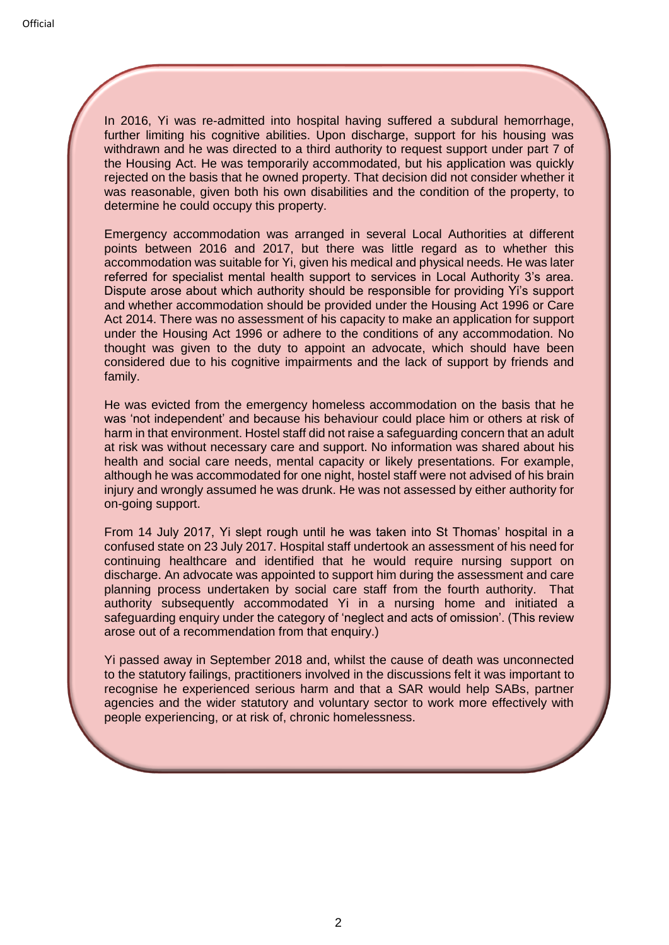In 2016, Yi was re-admitted into hospital having suffered a subdural hemorrhage, further limiting his cognitive abilities. Upon discharge, support for his housing was withdrawn and he was directed to a third authority to request support under part 7 of the Housing Act. He was temporarily accommodated, but his application was quickly rejected on the basis that he owned property. That decision did not consider whether it was reasonable, given both his own disabilities and the condition of the property, to determine he could occupy this property.

Emergency accommodation was arranged in several Local Authorities at different points between 2016 and 2017, but there was little regard as to whether this accommodation was suitable for Yi, given his medical and physical needs. He was later referred for specialist mental health support to services in Local Authority 3's area. Dispute arose about which authority should be responsible for providing Yi's support and whether accommodation should be provided under the Housing Act 1996 or Care Act 2014. There was no assessment of his capacity to make an application for support under the Housing Act 1996 or adhere to the conditions of any accommodation. No thought was given to the duty to appoint an advocate, which should have been considered due to his cognitive impairments and the lack of support by friends and family.

He was evicted from the emergency homeless accommodation on the basis that he was 'not independent' and because his behaviour could place him or others at risk of harm in that environment. Hostel staff did not raise a safeguarding concern that an adult at risk was without necessary care and support. No information was shared about his health and social care needs, mental capacity or likely presentations. For example, although he was accommodated for one night, hostel staff were not advised of his brain injury and wrongly assumed he was drunk. He was not assessed by either authority for on-going support.

From 14 July 2017, Yi slept rough until he was taken into St Thomas' hospital in a confused state on 23 July 2017. Hospital staff undertook an assessment of his need for continuing healthcare and identified that he would require nursing support on discharge. An advocate was appointed to support him during the assessment and care planning process undertaken by social care staff from the fourth authority. That authority subsequently accommodated Yi in a nursing home and initiated a safeguarding enquiry under the category of 'neglect and acts of omission'. (This review arose out of a recommendation from that enquiry.)

Yi passed away in September 2018 and, whilst the cause of death was unconnected to the statutory failings, practitioners involved in the discussions felt it was important to recognise he experienced serious harm and that a SAR would help SABs, partner agencies and the wider statutory and voluntary sector to work more effectively with people experiencing, or at risk of, chronic homelessness.